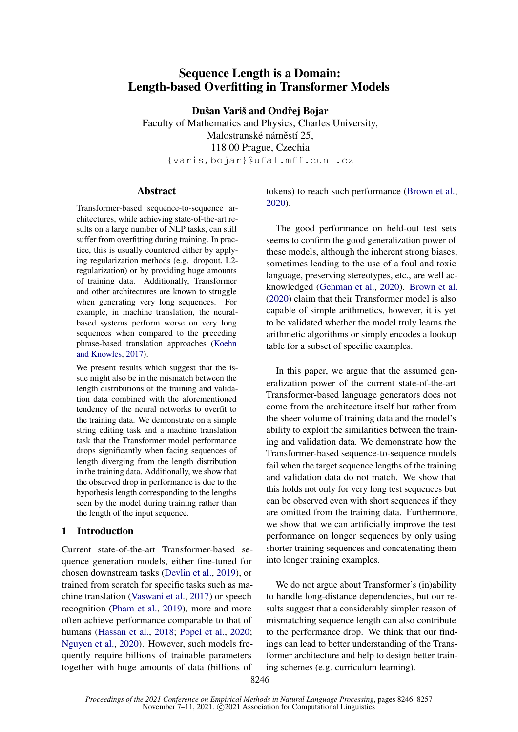# Sequence Length is a Domain: Length-based Overfitting in Transformer Models

Dušan Variš and Ondřej Bojar

Faculty of Mathematics and Physics, Charles University, Malostranské náměstí 25, 118 00 Prague, Czechia {varis,bojar}@ufal.mff.cuni.cz

#### Abstract

Transformer-based sequence-to-sequence architectures, while achieving state-of-the-art results on a large number of NLP tasks, can still suffer from overfitting during training. In practice, this is usually countered either by applying regularization methods (e.g. dropout, L2 regularization) or by providing huge amounts of training data. Additionally, Transformer and other architectures are known to struggle when generating very long sequences. For example, in machine translation, the neuralbased systems perform worse on very long sequences when compared to the preceding phrase-based translation approaches [\(Koehn](#page-5-0) [and Knowles,](#page-5-0) [2017\)](#page-5-0).

We present results which suggest that the issue might also be in the mismatch between the length distributions of the training and validation data combined with the aforementioned tendency of the neural networks to overfit to the training data. We demonstrate on a simple string editing task and a machine translation task that the Transformer model performance drops significantly when facing sequences of length diverging from the length distribution in the training data. Additionally, we show that the observed drop in performance is due to the hypothesis length corresponding to the lengths seen by the model during training rather than the length of the input sequence.

#### 1 Introduction

Current state-of-the-art Transformer-based sequence generation models, either fine-tuned for chosen downstream tasks [\(Devlin et al.,](#page-4-0) [2019\)](#page-4-0), or trained from scratch for specific tasks such as machine translation [\(Vaswani et al.,](#page-5-1) [2017\)](#page-5-1) or speech recognition [\(Pham et al.,](#page-5-2) [2019\)](#page-5-2), more and more often achieve performance comparable to that of humans [\(Hassan et al.,](#page-5-3) [2018;](#page-5-3) [Popel et al.,](#page-5-4) [2020;](#page-5-4) [Nguyen et al.,](#page-5-5) [2020\)](#page-5-5). However, such models frequently require billions of trainable parameters together with huge amounts of data (billions of tokens) to reach such performance [\(Brown et al.,](#page-4-1) [2020\)](#page-4-1).

The good performance on held-out test sets seems to confirm the good generalization power of these models, although the inherent strong biases, sometimes leading to the use of a foul and toxic language, preserving stereotypes, etc., are well acknowledged [\(Gehman et al.,](#page-4-2) [2020\)](#page-4-2). [Brown et al.](#page-4-1) [\(2020\)](#page-4-1) claim that their Transformer model is also capable of simple arithmetics, however, it is yet to be validated whether the model truly learns the arithmetic algorithms or simply encodes a lookup table for a subset of specific examples.

In this paper, we argue that the assumed generalization power of the current state-of-the-art Transformer-based language generators does not come from the architecture itself but rather from the sheer volume of training data and the model's ability to exploit the similarities between the training and validation data. We demonstrate how the Transformer-based sequence-to-sequence models fail when the target sequence lengths of the training and validation data do not match. We show that this holds not only for very long test sequences but can be observed even with short sequences if they are omitted from the training data. Furthermore, we show that we can artificially improve the test performance on longer sequences by only using shorter training sequences and concatenating them into longer training examples.

We do not argue about Transformer's (in)ability to handle long-distance dependencies, but our results suggest that a considerably simpler reason of mismatching sequence length can also contribute to the performance drop. We think that our findings can lead to better understanding of the Transformer architecture and help to design better training schemes (e.g. curriculum learning).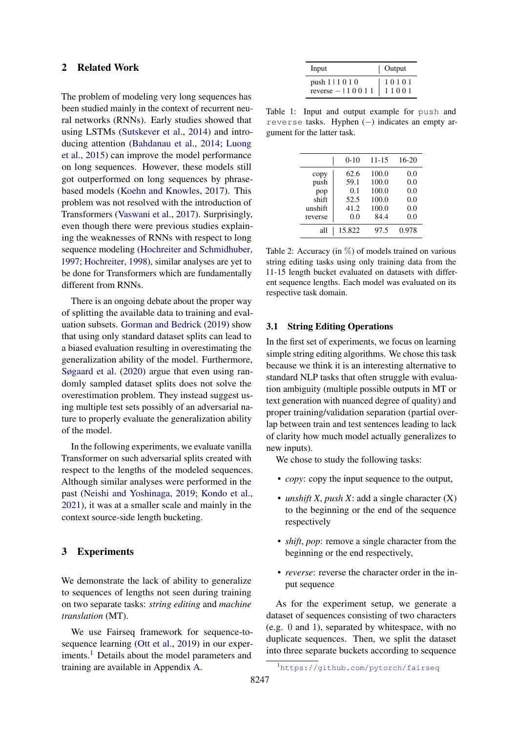#### 2 Related Work

The problem of modeling very long sequences has been studied mainly in the context of recurrent neural networks (RNNs). Early studies showed that using LSTMs [\(Sutskever et al.,](#page-5-6) [2014\)](#page-5-6) and introducing attention [\(Bahdanau et al.,](#page-4-3) [2014;](#page-4-3) [Luong](#page-5-7) [et al.,](#page-5-7) [2015\)](#page-5-7) can improve the model performance on long sequences. However, these models still got outperformed on long sequences by phrasebased models [\(Koehn and Knowles,](#page-5-0) [2017\)](#page-5-0). This problem was not resolved with the introduction of Transformers [\(Vaswani et al.,](#page-5-1) [2017\)](#page-5-1). Surprisingly, even though there were previous studies explaining the weaknesses of RNNs with respect to long sequence modeling [\(Hochreiter and Schmidhuber,](#page-5-8) [1997;](#page-5-8) [Hochreiter,](#page-5-9) [1998\)](#page-5-9), similar analyses are yet to be done for Transformers which are fundamentally different from RNNs.

There is an ongoing debate about the proper way of splitting the available data to training and evaluation subsets. [Gorman and Bedrick](#page-4-4) [\(2019\)](#page-4-4) show that using only standard dataset splits can lead to a biased evaluation resulting in overestimating the generalization ability of the model. Furthermore, [Søgaard et al.](#page-5-10) [\(2020\)](#page-5-10) argue that even using randomly sampled dataset splits does not solve the overestimation problem. They instead suggest using multiple test sets possibly of an adversarial nature to properly evaluate the generalization ability of the model.

In the following experiments, we evaluate vanilla Transformer on such adversarial splits created with respect to the lengths of the modeled sequences. Although similar analyses were performed in the past [\(Neishi and Yoshinaga,](#page-5-11) [2019;](#page-5-11) [Kondo et al.,](#page-5-12) [2021\)](#page-5-12), it was at a smaller scale and mainly in the context source-side length bucketing.

#### 3 Experiments

We demonstrate the lack of ability to generalize to sequences of lengths not seen during training on two separate tasks: *string editing* and *machine translation* (MT).

We use Fairseq framework for sequence-to-sequence learning [\(Ott et al.,](#page-5-13) [2019\)](#page-5-13) in our exper-iments.<sup>[1](#page-1-0)</sup> Details about the model parameters and training are available in Appendix [A.](#page-7-0)

<span id="page-1-1"></span>

| Input                              | $\vert$ Output     |
|------------------------------------|--------------------|
| push $111010$<br>reverse $-110011$ | $10101$<br>$11001$ |

Table 1: Input and output example for push and reverse tasks. Hyphen (−) indicates an empty argument for the latter task.

<span id="page-1-2"></span>

|                  | $0 - 10$     | $11 - 15$      | $16 - 20$  |
|------------------|--------------|----------------|------------|
| copy<br>push     | 62.6<br>59.1 | 100.0<br>100.0 | 0.0<br>0.0 |
| pop              | 0.1          | 100.0          | 0.0        |
| shift<br>unshift | 52.5<br>41.2 | 100.0<br>100.0 | 0.0<br>0.0 |
| reverse          | 0.0          | 84.4           | 0.0        |
| all              | 15.822       | 97.5           | 0.978      |

Table 2: Accuracy (in  $\%$ ) of models trained on various string editing tasks using only training data from the 11-15 length bucket evaluated on datasets with different sequence lengths. Each model was evaluated on its respective task domain.

#### 3.1 String Editing Operations

In the first set of experiments, we focus on learning simple string editing algorithms. We chose this task because we think it is an interesting alternative to standard NLP tasks that often struggle with evaluation ambiguity (multiple possible outputs in MT or text generation with nuanced degree of quality) and proper training/validation separation (partial overlap between train and test sentences leading to lack of clarity how much model actually generalizes to new inputs).

We chose to study the following tasks:

- *copy*: copy the input sequence to the output,
- *unshift X*, *push X*: add a single character (X) to the beginning or the end of the sequence respectively
- *shift*, *pop*: remove a single character from the beginning or the end respectively,
- *reverse*: reverse the character order in the input sequence

As for the experiment setup, we generate a dataset of sequences consisting of two characters (e.g. 0 and 1), separated by whitespace, with no duplicate sequences. Then, we split the dataset into three separate buckets according to sequence

<span id="page-1-0"></span><sup>1</sup>https://qithub.com/pytorch/fairseq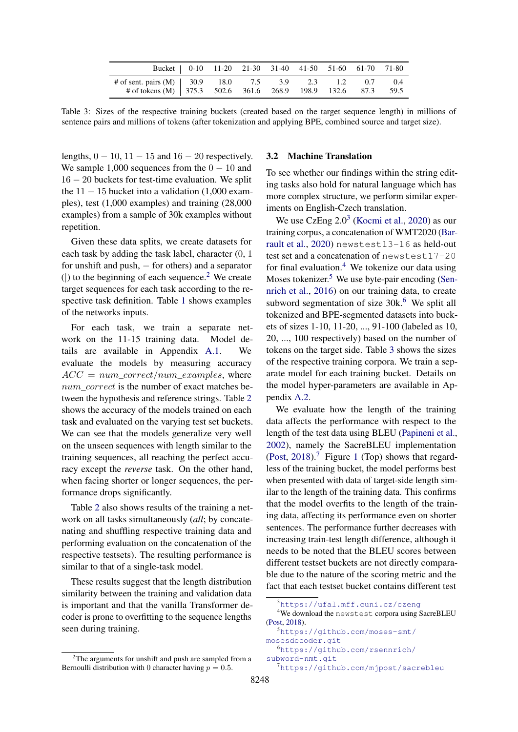<span id="page-2-5"></span>

| Bucket   0-10 11-20 21-30 31-40 41-50 51-60 61-70 71-80                                                                   |  |  |  |  |
|---------------------------------------------------------------------------------------------------------------------------|--|--|--|--|
| # of sent. pairs (M)   30.9 18.0 7.5 3.9 2.3 1.2 0.7 0.4<br># of tokens (M) 375.3 502.6 361.6 268.9 198.9 132.6 87.3 59.5 |  |  |  |  |

Table 3: Sizes of the respective training buckets (created based on the target sequence length) in millions of sentence pairs and millions of tokens (after tokenization and applying BPE, combined source and target size).

lengths,  $0 - 10$ ,  $11 - 15$  and  $16 - 20$  respectively. We sample 1,000 sequences from the  $0 - 10$  and 16 − 20 buckets for test-time evaluation. We split the  $11 - 15$  bucket into a validation (1,000 examples), test (1,000 examples) and training (28,000 examples) from a sample of 30k examples without repetition.

Given these data splits, we create datasets for each task by adding the task label, character (0, 1 for unshift and push,  $-$  for others) and a separator ( $|$ ) to the beginning of each sequence.<sup>[2](#page-2-0)</sup> We create target sequences for each task according to the respective task definition. Table [1](#page-1-1) shows examples of the networks inputs.

For each task, we train a separate network on the 11-15 training data. Model details are available in Appendix [A.1.](#page-7-1) We evaluate the models by measuring accuracy  $ACC = num\_correct/num\_examples$ , where num\_correct is the number of exact matches between the hypothesis and reference strings. Table [2](#page-1-2) shows the accuracy of the models trained on each task and evaluated on the varying test set buckets. We can see that the models generalize very well on the unseen sequences with length similar to the training sequences, all reaching the perfect accuracy except the *reverse* task. On the other hand, when facing shorter or longer sequences, the performance drops significantly.

Table [2](#page-1-2) also shows results of the training a network on all tasks simultaneously (*all*; by concatenating and shuffling respective training data and performing evaluation on the concatenation of the respective testsets). The resulting performance is similar to that of a single-task model.

These results suggest that the length distribution similarity between the training and validation data is important and that the vanilla Transformer decoder is prone to overfitting to the sequence lengths seen during training.

#### 3.2 Machine Translation

To see whether our findings within the string editing tasks also hold for natural language which has more complex structure, we perform similar experiments on English-Czech translation.

We use CzEng  $2.0<sup>3</sup>$  $2.0<sup>3</sup>$  $2.0<sup>3</sup>$  [\(Kocmi et al.,](#page-5-14) [2020\)](#page-5-14) as our training corpus, a concatenation of WMT2020 [\(Bar](#page-4-5)[rault et al.,](#page-4-5) [2020\)](#page-4-5) newstest13-16 as held-out test set and a concatenation of newstest17-20 for final evaluation.<sup>[4](#page-2-2)</sup> We tokenize our data using Moses tokenizer.<sup>[5](#page-2-3)</sup> We use byte-pair encoding [\(Sen](#page-5-15)[nrich et al.,](#page-5-15) [2016\)](#page-5-15) on our training data, to create subword segmentation of size  $30k$ <sup>[6](#page-2-4)</sup> We split all tokenized and BPE-segmented datasets into buckets of sizes 1-10, 11-20, ..., 91-100 (labeled as 10, 20, ..., 100 respectively) based on the number of tokens on the target side. Table [3](#page-2-5) shows the sizes of the respective training corpora. We train a separate model for each training bucket. Details on the model hyper-parameters are available in Appendix [A.2.](#page-7-2)

We evaluate how the length of the training data affects the performance with respect to the length of the test data using BLEU [\(Papineni et al.,](#page-5-16) [2002\)](#page-5-16), namely the SacreBLEU implementation [\(Post,](#page-5-17) [2018\)](#page-5-17).<sup>[7](#page-2-6)</sup> Figure [1](#page-3-0) (Top) shows that regardless of the training bucket, the model performs best when presented with data of target-side length similar to the length of the training data. This confirms that the model overfits to the length of the training data, affecting its performance even on shorter sentences. The performance further decreases with increasing train-test length difference, although it needs to be noted that the BLEU scores between different testset buckets are not directly comparable due to the nature of the scoring metric and the fact that each testset bucket contains different test

<span id="page-2-3"></span><sup>5</sup>[https://github.com/moses-smt/](https://github.com/moses-smt/mosesdecoder.git) [mosesdecoder.git](https://github.com/moses-smt/mosesdecoder.git) <sup>6</sup>[https://github.com/rsennrich/](https://github.com/rsennrich/subword-nmt.git)

<span id="page-2-0"></span> $2$ The arguments for unshift and push are sampled from a Bernoulli distribution with 0 character having  $p = 0.5$ .

<span id="page-2-2"></span><span id="page-2-1"></span><sup>3</sup><https://ufal.mff.cuni.cz/czeng>

<sup>4</sup>We download the newstest corpora using SacreBLEU [\(Post,](#page-5-17) [2018\)](#page-5-17).

<span id="page-2-6"></span><span id="page-2-4"></span>[subword-nmt.git](https://github.com/rsennrich/subword-nmt.git) <sup>7</sup><https://github.com/mjpost/sacrebleu>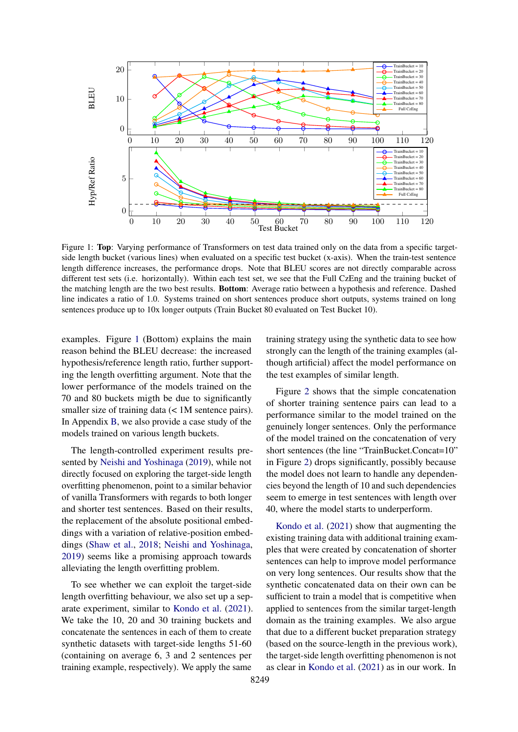<span id="page-3-0"></span>

Figure 1: Top: Varying performance of Transformers on test data trained only on the data from a specific targetside length bucket (various lines) when evaluated on a specific test bucket (x-axis). When the train-test sentence length difference increases, the performance drops. Note that BLEU scores are not directly comparable across different test sets (i.e. horizontally). Within each test set, we see that the Full CzEng and the training bucket of the matching length are the two best results. Bottom: Average ratio between a hypothesis and reference. Dashed line indicates a ratio of 1.0. Systems trained on short sentences produce short outputs, systems trained on long sentences produce up to 10x longer outputs (Train Bucket 80 evaluated on Test Bucket 10).

examples. Figure [1](#page-3-0) (Bottom) explains the main reason behind the BLEU decrease: the increased hypothesis/reference length ratio, further supporting the length overfitting argument. Note that the lower performance of the models trained on the 70 and 80 buckets migth be due to significantly smaller size of training data  $\ll 1$ M sentence pairs). In Appendix [B,](#page-7-3) we also provide a case study of the models trained on various length buckets.

The length-controlled experiment results presented by [Neishi and Yoshinaga](#page-5-11) [\(2019\)](#page-5-11), while not directly focused on exploring the target-side length overfitting phenomenon, point to a similar behavior of vanilla Transformers with regards to both longer and shorter test sentences. Based on their results, the replacement of the absolute positional embeddings with a variation of relative-position embeddings [\(Shaw et al.,](#page-5-18) [2018;](#page-5-18) [Neishi and Yoshinaga,](#page-5-11) [2019\)](#page-5-11) seems like a promising approach towards alleviating the length overfitting problem.

To see whether we can exploit the target-side length overfitting behaviour, we also set up a separate experiment, similar to [Kondo et al.](#page-5-12) [\(2021\)](#page-5-12). We take the 10, 20 and 30 training buckets and concatenate the sentences in each of them to create synthetic datasets with target-side lengths 51-60 (containing on average 6, 3 and 2 sentences per training example, respectively). We apply the same

training strategy using the synthetic data to see how strongly can the length of the training examples (although artificial) affect the model performance on the test examples of similar length.

Figure [2](#page-4-6) shows that the simple concatenation of shorter training sentence pairs can lead to a performance similar to the model trained on the genuinely longer sentences. Only the performance of the model trained on the concatenation of very short sentences (the line "TrainBucket.Concat=10" in Figure [2\)](#page-4-6) drops significantly, possibly because the model does not learn to handle any dependencies beyond the length of 10 and such dependencies seem to emerge in test sentences with length over 40, where the model starts to underperform.

[Kondo et al.](#page-5-12) [\(2021\)](#page-5-12) show that augmenting the existing training data with additional training examples that were created by concatenation of shorter sentences can help to improve model performance on very long sentences. Our results show that the synthetic concatenated data on their own can be sufficient to train a model that is competitive when applied to sentences from the similar target-length domain as the training examples. We also argue that due to a different bucket preparation strategy (based on the source-length in the previous work), the target-side length overfitting phenomenon is not as clear in [Kondo et al.](#page-5-12) [\(2021\)](#page-5-12) as in our work. In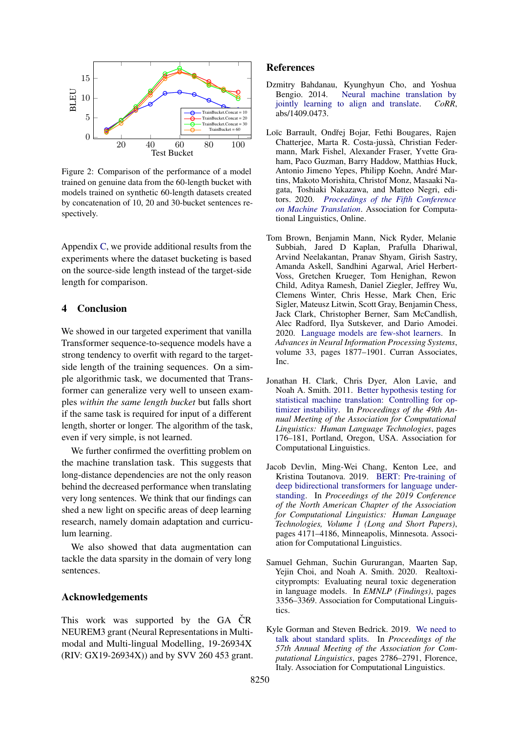<span id="page-4-6"></span>

Figure 2: Comparison of the performance of a model trained on genuine data from the 60-length bucket with models trained on synthetic 60-length datasets created by concatenation of 10, 20 and 30-bucket sentences respectively.

Appendix [C,](#page-7-4) we provide additional results from the experiments where the dataset bucketing is based on the source-side length instead of the target-side length for comparison.

### 4 Conclusion

We showed in our targeted experiment that vanilla Transformer sequence-to-sequence models have a strong tendency to overfit with regard to the targetside length of the training sequences. On a simple algorithmic task, we documented that Transformer can generalize very well to unseen examples *within the same length bucket* but falls short if the same task is required for input of a different length, shorter or longer. The algorithm of the task, even if very simple, is not learned.

We further confirmed the overfitting problem on the machine translation task. This suggests that long-distance dependencies are not the only reason behind the decreased performance when translating very long sentences. We think that our findings can shed a new light on specific areas of deep learning research, namely domain adaptation and curriculum learning.

We also showed that data augmentation can tackle the data sparsity in the domain of very long sentences.

#### Acknowledgements

This work was supported by the GA CR<sup> $\check{C}$ R</sup> NEUREM3 grant (Neural Representations in Multimodal and Multi-lingual Modelling, 19-26934X (RIV: GX19-26934X)) and by SVV 260 453 grant.

#### References

- <span id="page-4-3"></span>Dzmitry Bahdanau, Kyunghyun Cho, and Yoshua Bengio. 2014. [Neural machine translation by](http://arxiv.org/abs/1409.0473) [jointly learning to align and translate.](http://arxiv.org/abs/1409.0473) *CoRR*,  $abs/1409.0473$ .
- <span id="page-4-5"></span>Loïc Barrault, Ondřej Bojar, Fethi Bougares, Rajen Chatterjee, Marta R. Costa-jussà, Christian Federmann, Mark Fishel, Alexander Fraser, Yvette Graham, Paco Guzman, Barry Haddow, Matthias Huck, Antonio Jimeno Yepes, Philipp Koehn, André Martins, Makoto Morishita, Christof Monz, Masaaki Nagata, Toshiaki Nakazawa, and Matteo Negri, editors. 2020. *[Proceedings of the Fifth Conference](https://www.aclweb.org/anthology/2020.wmt-1.0) [on Machine Translation](https://www.aclweb.org/anthology/2020.wmt-1.0)*. Association for Computational Linguistics, Online.
- <span id="page-4-1"></span>Tom Brown, Benjamin Mann, Nick Ryder, Melanie Subbiah, Jared D Kaplan, Prafulla Dhariwal, Arvind Neelakantan, Pranav Shyam, Girish Sastry, Amanda Askell, Sandhini Agarwal, Ariel Herbert-Voss, Gretchen Krueger, Tom Henighan, Rewon Child, Aditya Ramesh, Daniel Ziegler, Jeffrey Wu, Clemens Winter, Chris Hesse, Mark Chen, Eric Sigler, Mateusz Litwin, Scott Gray, Benjamin Chess, Jack Clark, Christopher Berner, Sam McCandlish, Alec Radford, Ilya Sutskever, and Dario Amodei. 2020. [Language models are few-shot learners.](https://proceedings.neurips.cc/paper/2020/file/1457c0d6bfcb4967418bfb8ac142f64a-Paper.pdf) In *Advances in Neural Information Processing Systems*, volume 33, pages 1877–1901. Curran Associates, Inc.
- <span id="page-4-7"></span>Jonathan H. Clark, Chris Dyer, Alon Lavie, and Noah A. Smith. 2011. [Better hypothesis testing for](https://aclanthology.org/P11-2031) [statistical machine translation: Controlling for op](https://aclanthology.org/P11-2031)[timizer instability.](https://aclanthology.org/P11-2031) In *Proceedings of the 49th Annual Meeting of the Association for Computational Linguistics: Human Language Technologies*, pages 176–181, Portland, Oregon, USA. Association for Computational Linguistics.
- <span id="page-4-0"></span>Jacob Devlin, Ming-Wei Chang, Kenton Lee, and Kristina Toutanova. 2019. [BERT: Pre-training of](https://doi.org/10.18653/v1/N19-1423) [deep bidirectional transformers for language under](https://doi.org/10.18653/v1/N19-1423)[standing.](https://doi.org/10.18653/v1/N19-1423) In *Proceedings of the 2019 Conference of the North American Chapter of the Association for Computational Linguistics: Human Language Technologies, Volume 1 (Long and Short Papers)*, pages 4171–4186, Minneapolis, Minnesota. Association for Computational Linguistics.
- <span id="page-4-2"></span>Samuel Gehman, Suchin Gururangan, Maarten Sap, Yejin Choi, and Noah A. Smith. 2020. Realtoxicityprompts: Evaluating neural toxic degeneration in language models. In *EMNLP (Findings)*, pages 3356–3369. Association for Computational Linguistics.
- <span id="page-4-4"></span>Kyle Gorman and Steven Bedrick. 2019. [We need to](https://doi.org/10.18653/v1/P19-1267) [talk about standard splits.](https://doi.org/10.18653/v1/P19-1267) In *Proceedings of the 57th Annual Meeting of the Association for Computational Linguistics*, pages 2786–2791, Florence, Italy. Association for Computational Linguistics.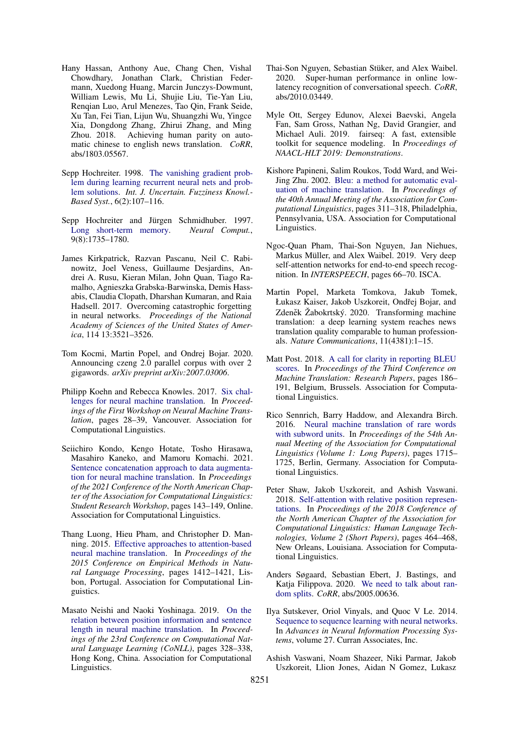- <span id="page-5-3"></span>Hany Hassan, Anthony Aue, Chang Chen, Vishal Chowdhary, Jonathan Clark, Christian Federmann, Xuedong Huang, Marcin Junczys-Dowmunt, William Lewis, Mu Li, Shujie Liu, Tie-Yan Liu, Renqian Luo, Arul Menezes, Tao Qin, Frank Seide, Xu Tan, Fei Tian, Lijun Wu, Shuangzhi Wu, Yingce Xia, Dongdong Zhang, Zhirui Zhang, and Ming Achieving human parity on automatic chinese to english news translation. *CoRR*, abs/1803.05567.
- <span id="page-5-9"></span>Sepp Hochreiter. 1998. [The vanishing gradient prob](https://doi.org/10.1142/S0218488598000094)[lem during learning recurrent neural nets and prob](https://doi.org/10.1142/S0218488598000094)[lem solutions.](https://doi.org/10.1142/S0218488598000094) *Int. J. Uncertain. Fuzziness Knowl.- Based Syst.*, 6(2):107–116.
- <span id="page-5-8"></span>Sepp Hochreiter and Jürgen Schmidhuber. 1997. [Long short-term memory.](https://doi.org/10.1162/neco.1997.9.8.1735) *Neural Comput.*, 9(8):1735–1780.
- <span id="page-5-19"></span>James Kirkpatrick, Razvan Pascanu, Neil C. Rabinowitz, Joel Veness, Guillaume Desjardins, Andrei A. Rusu, Kieran Milan, John Quan, Tiago Ramalho, Agnieszka Grabska-Barwinska, Demis Hassabis, Claudia Clopath, Dharshan Kumaran, and Raia Hadsell. 2017. Overcoming catastrophic forgetting in neural networks. *Proceedings of the National Academy of Sciences of the United States of America*, 114 13:3521–3526.
- <span id="page-5-14"></span>Tom Kocmi, Martin Popel, and Ondrej Bojar. 2020. Announcing czeng 2.0 parallel corpus with over 2 gigawords. *arXiv preprint arXiv:2007.03006*.
- <span id="page-5-0"></span>Philipp Koehn and Rebecca Knowles. 2017. [Six chal](https://doi.org/10.18653/v1/W17-3204)[lenges for neural machine translation.](https://doi.org/10.18653/v1/W17-3204) In *Proceedings of the First Workshop on Neural Machine Translation*, pages 28–39, Vancouver. Association for Computational Linguistics.
- <span id="page-5-12"></span>Seiichiro Kondo, Kengo Hotate, Tosho Hirasawa, Masahiro Kaneko, and Mamoru Komachi. 2021. [Sentence concatenation approach to data augmenta](https://doi.org/10.18653/v1/2021.naacl-srw.18)[tion for neural machine translation.](https://doi.org/10.18653/v1/2021.naacl-srw.18) In *Proceedings of the 2021 Conference of the North American Chapter of the Association for Computational Linguistics: Student Research Workshop*, pages 143–149, Online. Association for Computational Linguistics.
- <span id="page-5-7"></span>Thang Luong, Hieu Pham, and Christopher D. Manning. 2015. [Effective approaches to attention-based](https://doi.org/10.18653/v1/D15-1166) [neural machine translation.](https://doi.org/10.18653/v1/D15-1166) In *Proceedings of the 2015 Conference on Empirical Methods in Natural Language Processing*, pages 1412–1421, Lisbon, Portugal. Association for Computational Linguistics.
- <span id="page-5-11"></span>Masato Neishi and Naoki Yoshinaga. 2019. [On the](https://doi.org/10.18653/v1/K19-1031) [relation between position information and sentence](https://doi.org/10.18653/v1/K19-1031) [length in neural machine translation.](https://doi.org/10.18653/v1/K19-1031) In *Proceedings of the 23rd Conference on Computational Natural Language Learning (CoNLL)*, pages 328–338, Hong Kong, China. Association for Computational Linguistics.
- <span id="page-5-5"></span>Thai-Son Nguyen, Sebastian Stüker, and Alex Waibel. 2020. Super-human performance in online lowlatency recognition of conversational speech. *CoRR*, abs/2010.03449.
- <span id="page-5-13"></span>Myle Ott, Sergey Edunov, Alexei Baevski, Angela Fan, Sam Gross, Nathan Ng, David Grangier, and Michael Auli. 2019. fairseq: A fast, extensible toolkit for sequence modeling. In *Proceedings of NAACL-HLT 2019: Demonstrations*.
- <span id="page-5-16"></span>Kishore Papineni, Salim Roukos, Todd Ward, and Wei-Jing Zhu. 2002. [Bleu: a method for automatic eval](https://doi.org/10.3115/1073083.1073135)[uation of machine translation.](https://doi.org/10.3115/1073083.1073135) In *Proceedings of the 40th Annual Meeting of the Association for Computational Linguistics*, pages 311–318, Philadelphia, Pennsylvania, USA. Association for Computational Linguistics.
- <span id="page-5-2"></span>Ngoc-Quan Pham, Thai-Son Nguyen, Jan Niehues, Markus Müller, and Alex Waibel. 2019. Very deep self-attention networks for end-to-end speech recognition. In *INTERSPEECH*, pages 66–70. ISCA.
- <span id="page-5-4"></span>Martin Popel, Marketa Tomkova, Jakub Tomek, Łukasz Kaiser, Jakob Uszkoreit, Ondřej Bojar, and Zdeněk Žabokrtský. 2020. Transforming machine translation: a deep learning system reaches news translation quality comparable to human professionals. *Nature Communications*, 11(4381):1–15.
- <span id="page-5-17"></span>Matt Post. 2018. [A call for clarity in reporting BLEU](https://www.aclweb.org/anthology/W18-6319) [scores.](https://www.aclweb.org/anthology/W18-6319) In *Proceedings of the Third Conference on Machine Translation: Research Papers*, pages 186– 191, Belgium, Brussels. Association for Computational Linguistics.
- <span id="page-5-15"></span>Rico Sennrich, Barry Haddow, and Alexandra Birch. 2016. [Neural machine translation of rare words](https://doi.org/10.18653/v1/P16-1162) [with subword units.](https://doi.org/10.18653/v1/P16-1162) In *Proceedings of the 54th Annual Meeting of the Association for Computational Linguistics (Volume 1: Long Papers)*, pages 1715– 1725, Berlin, Germany. Association for Computational Linguistics.
- <span id="page-5-18"></span>Peter Shaw, Jakob Uszkoreit, and Ashish Vaswani. 2018. [Self-attention with relative position represen](https://doi.org/10.18653/v1/N18-2074)[tations.](https://doi.org/10.18653/v1/N18-2074) In *Proceedings of the 2018 Conference of the North American Chapter of the Association for Computational Linguistics: Human Language Technologies, Volume 2 (Short Papers)*, pages 464–468, New Orleans, Louisiana. Association for Computational Linguistics.
- <span id="page-5-10"></span>Anders Søgaard, Sebastian Ebert, J. Bastings, and Katja Filippova. 2020. [We need to talk about ran](http://arxiv.org/abs/2005.00636)[dom splits.](http://arxiv.org/abs/2005.00636) *CoRR*, abs/2005.00636.
- <span id="page-5-6"></span>Ilya Sutskever, Oriol Vinyals, and Quoc V Le. 2014. [Sequence to sequence learning with neural networks.](https://proceedings.neurips.cc/paper/2014/file/a14ac55a4f27472c5d894ec1c3c743d2-Paper.pdf) In *Advances in Neural Information Processing Systems*, volume 27. Curran Associates, Inc.
- <span id="page-5-1"></span>Ashish Vaswani, Noam Shazeer, Niki Parmar, Jakob Uszkoreit, Llion Jones, Aidan N Gomez, Lukasz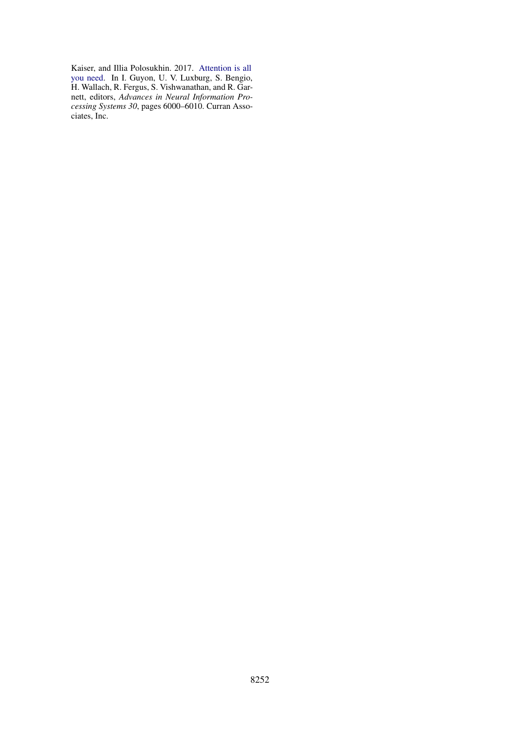Kaiser, and Illia Polosukhin. 2017. [Attention is all](http://papers.nips.cc/paper/7181-attention-is-all-you-need.pdf) [you need.](http://papers.nips.cc/paper/7181-attention-is-all-you-need.pdf) In I. Guyon, U. V. Luxburg, S. Bengio, H. Wallach, R. Fergus, S. Vishwanathan, and R. Garnett, editors, *Advances in Neural Information Processing Systems 30*, pages 6000–6010. Curran Associates, Inc.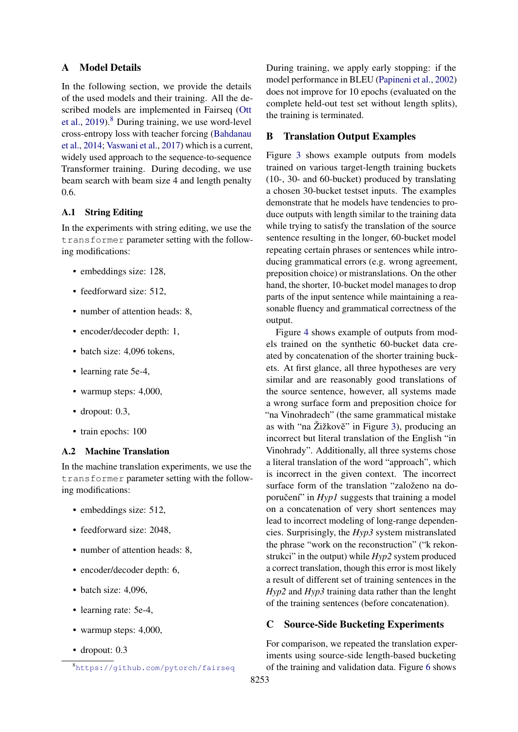# <span id="page-7-0"></span>A Model Details

In the following section, we provide the details of the used models and their training. All the described models are implemented in Fairseq [\(Ott](#page-5-13) [et al.,](#page-5-13) [2019\)](#page-5-13).<sup>[8](#page-7-5)</sup> During training, we use word-level cross-entropy loss with teacher forcing [\(Bahdanau](#page-4-3) [et al.,](#page-4-3) [2014;](#page-4-3) [Vaswani et al.,](#page-5-1) [2017\)](#page-5-1) which is a current, widely used approach to the sequence-to-sequence Transformer training. During decoding, we use beam search with beam size 4 and length penalty 0.6.

# <span id="page-7-1"></span>A.1 String Editing

In the experiments with string editing, we use the transformer parameter setting with the following modifications:

- embeddings size: 128,
- feedforward size: 512.
- number of attention heads: 8.
- encoder/decoder depth: 1,
- batch size: 4,096 tokens,
- learning rate 5e-4,
- warmup steps: 4,000,
- dropout: 0.3,
- train epochs: 100

# <span id="page-7-2"></span>A.2 Machine Translation

In the machine translation experiments, we use the transformer parameter setting with the following modifications:

- embeddings size: 512,
- feedforward size: 2048.
- number of attention heads: 8,
- encoder/decoder depth: 6,
- batch size: 4,096,
- learning rate: 5e-4,
- warmup steps: 4,000,
- dropout: 0.3

During training, we apply early stopping: if the model performance in BLEU [\(Papineni et al.,](#page-5-16) [2002\)](#page-5-16) does not improve for 10 epochs (evaluated on the complete held-out test set without length splits), the training is terminated.

# <span id="page-7-3"></span>B Translation Output Examples

Figure [3](#page-8-0) shows example outputs from models trained on various target-length training buckets (10-, 30- and 60-bucket) produced by translating a chosen 30-bucket testset inputs. The examples demonstrate that he models have tendencies to produce outputs with length similar to the training data while trying to satisfy the translation of the source sentence resulting in the longer, 60-bucket model repeating certain phrases or sentences while introducing grammatical errors (e.g. wrong agreement, preposition choice) or mistranslations. On the other hand, the shorter, 10-bucket model manages to drop parts of the input sentence while maintaining a reasonable fluency and grammatical correctness of the output.

Figure [4](#page-9-0) shows example of outputs from models trained on the synthetic 60-bucket data created by concatenation of the shorter training buckets. At first glance, all three hypotheses are very similar and are reasonably good translations of the source sentence, however, all systems made a wrong surface form and preposition choice for "na Vinohradech" (the same grammatical mistake as with "na  $\check{Z}$ ižkově" in Figure [3\)](#page-8-0), producing an incorrect but literal translation of the English "in Vinohrady". Additionally, all three systems chose a literal translation of the word "approach", which is incorrect in the given context. The incorrect surface form of the translation "založeno na doporučení" in *Hyp1* suggests that training a model on a concatenation of very short sentences may lead to incorrect modeling of long-range dependencies. Surprisingly, the *Hyp3* system mistranslated the phrase "work on the reconstruction" ("k rekonstrukci" in the output) while *Hyp2* system produced a correct translation, though this error is most likely a result of different set of training sentences in the *Hyp2* and *Hyp3* training data rather than the lenght of the training sentences (before concatenation).

# <span id="page-7-4"></span>C Source-Side Bucketing Experiments

For comparison, we repeated the translation experiments using source-side length-based bucketing of the training and validation data. Figure [6](#page-11-0) shows

<span id="page-7-5"></span><sup>8</sup><https://github.com/pytorch/fairseq>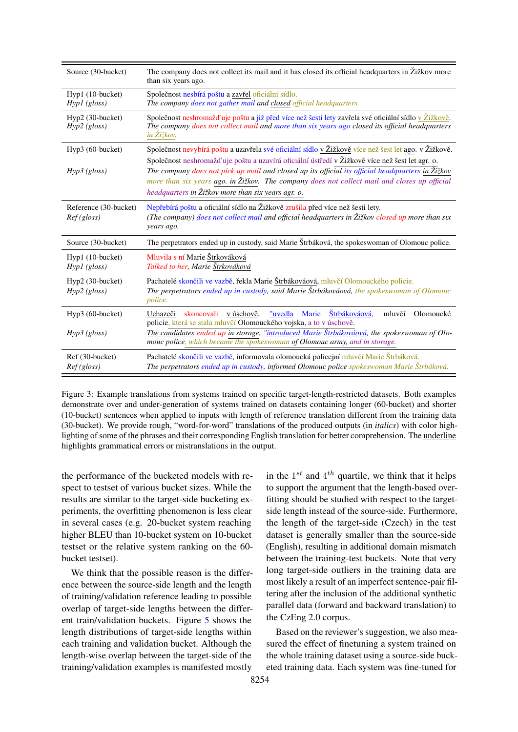<span id="page-8-0"></span>

| Source (30-bucket)                  | The company does not collect its mail and it has closed its official headquarters in $\ddot{Z}$ ižkov more<br>than six years ago.                                                                                                                                                                                                                                                                                                                                |
|-------------------------------------|------------------------------------------------------------------------------------------------------------------------------------------------------------------------------------------------------------------------------------------------------------------------------------------------------------------------------------------------------------------------------------------------------------------------------------------------------------------|
| Hyp1 (10-bucket)<br>$Hyp1$ (gloss)  | Společnost nesbírá poštu a zavřel oficiální sídlo.<br>The company does not gather mail and closed official headquarters.                                                                                                                                                                                                                                                                                                                                         |
| Hyp2 (30-bucket)<br>$Hyp2$ (gloss)  | Společnost neshromažďuje poštu a již před více než šesti lety zavřela své oficiální sídlo v Žižkově.<br>The company does not collect mail and more than six years ago closed its official headquarters<br>in Žižkov.                                                                                                                                                                                                                                             |
| Hyp3 (60-bucket)<br>$Hyp3$ (gloss)  | Společnost nevybírá poštu a uzavřela své oficiální sídlo v Žižkově více než šest let ago. v Žižkově.<br>Společnost neshromažďuje poštu a uzavírá oficiální ústředí v Žižkově více než šest let agr. o.<br>The company does not pick up mail and closed up its official its official headquarters in Žižkov<br>more than six years ago. in Žižkov. The company does not collect mail and closes up official<br>headquarters in Žižkov more than six years agr. o. |
| Reference (30-bucket)<br>Ref(gloss) | Nepřebírá poštu a oficiální sídlo na Žižkově zrušila před více než šesti lety.<br>(The company) does not collect mail and official headquarters in Žižkov closed up more than six<br>years ago.                                                                                                                                                                                                                                                                  |
| Source (30-bucket)                  | The perpetrators ended up in custody, said Marie Štrbáková, the spokeswoman of Olomouc police.                                                                                                                                                                                                                                                                                                                                                                   |
| Hyp1 (10-bucket)<br>$Hyp1$ (gloss)  | Mluvila s ní Marie Štrkováková<br>Talked to her, Marie Štrkováková                                                                                                                                                                                                                                                                                                                                                                                               |
| $Hyp2(30-bucket)$<br>$Hyp2$ (gloss) | Pachatelé skončili ve vazbě, řekla Marie Štrbákováová, mluvčí Olomouckého policie.<br>The perpetrators ended up in custody, said Marie Štrbákováová, the spokeswoman of Olomouc<br><i>police.</i>                                                                                                                                                                                                                                                                |
| $Hyp3(60-bucker)$<br>$Hyp3$ (gloss) | Štrbákováová,<br>"uvedla<br>Marie<br>Olomoucké<br>v úschově,<br>mluvčí<br>skoncovali<br>Uchazeči<br>policie, která se stala mluvčí Olomouckého vojska, a to v úschově.<br>The candidates ended up in storage, "introduced Marie Štrbákováová, the spokeswoman of Olo-<br>mouc police, which became the spokeswoman of Olomouc army, and in storage.                                                                                                              |
| Ref (30-bucket)<br>Ref(gloss)       | Pachatelé skončili ve vazbě, informovala olomoucká policejní mluvčí Marie Štrbáková.<br>The perpetrators ended up in custody, informed Olomouc police spokeswoman Marie Štrbáková.                                                                                                                                                                                                                                                                               |

Figure 3: Example translations from systems trained on specific target-length-restricted datasets. Both examples demonstrate over and under-generation of systems trained on datasets containing longer (60-bucket) and shorter (10-bucket) sentences when applied to inputs with length of reference translation different from the training data (30-bucket). We provide rough, "word-for-word" translations of the produced outputs (in *italics*) with color highlighting of some of the phrases and their corresponding English translation for better comprehension. The underline highlights grammatical errors or mistranslations in the output.

the performance of the bucketed models with respect to testset of various bucket sizes. While the results are similar to the target-side bucketing experiments, the overfitting phenomenon is less clear in several cases (e.g. 20-bucket system reaching higher BLEU than 10-bucket system on 10-bucket testset or the relative system ranking on the 60 bucket testset).

We think that the possible reason is the difference between the source-side length and the length of training/validation reference leading to possible overlap of target-side lengths between the different train/validation buckets. Figure [5](#page-10-0) shows the length distributions of target-side lengths within each training and validation bucket. Although the length-wise overlap between the target-side of the training/validation examples is manifested mostly

in the  $1^{st}$  and  $4^{th}$  quartile, we think that it helps to support the argument that the length-based overfitting should be studied with respect to the targetside length instead of the source-side. Furthermore, the length of the target-side (Czech) in the test dataset is generally smaller than the source-side (English), resulting in additional domain mismatch between the training-test buckets. Note that very long target-side outliers in the training data are most likely a result of an imperfect sentence-pair filtering after the inclusion of the additional synthetic parallel data (forward and backward translation) to the CzEng 2.0 corpus.

Based on the reviewer's suggestion, we also measured the effect of finetuning a system trained on the whole training dataset using a source-side bucketed training data. Each system was fine-tuned for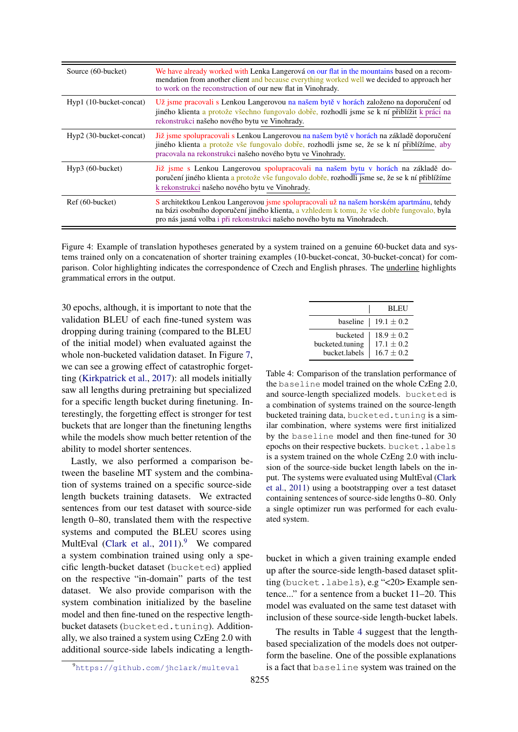<span id="page-9-0"></span>

| Source (60-bucket)      | We have already worked with Lenka Langerová on our flat in the mountains based on a recom-<br>mendation from another client and because everything worked well we decided to approach her<br>to work on the reconstruction of our new flat in Vinohrady.              |
|-------------------------|-----------------------------------------------------------------------------------------------------------------------------------------------------------------------------------------------------------------------------------------------------------------------|
| Hyp1 (10-bucket-concat) | Už jsme pracovali s Lenkou Langerovou na našem bytě v horách založeno na doporučení od<br>jiného klienta a protože všechno fungovalo dobře, rozhodli jsme se k ní přiblížit k práci na<br>rekonstrukci našeho nového bytu ve Vinohrady.                               |
| Hyp2 (30-bucket-concat) | Již jsme spolupracovali s Lenkou Langerovou na našem bytě v horách na základě doporučení<br>jiného klienta a protože vše fungovalo dobře, rozhodli jsme se, že se k ní přiblížíme, aby<br>pracovala na rekonstrukci našeho nového bytu ve Vinohrady.                  |
| $Hyp3(60-bucker)$       | Již jsme s Lenkou Langerovou spolupracovali na našem bytu v horách na základě do-<br>poručení jiného klienta a protože vše fungovalo dobře, rozhodli jsme se, že se k ní přiblížíme<br>k rekonstrukci našeho nového bytu ve Vinohrady.                                |
| Ref (60-bucket)         | S architektkou Lenkou Langerovou jsme spolupracovali už na našem horském apartmánu, tehdy<br>na bázi osobního doporučení jiného klienta, a vzhledem k tomu, že vše dobře fungovalo, byla<br>pro nás jasná volba i při rekonstrukci našeho nového bytu na Vinohradech. |

Figure 4: Example of translation hypotheses generated by a system trained on a genuine 60-bucket data and systems trained only on a concatenation of shorter training examples (10-bucket-concat, 30-bucket-concat) for comparison. Color highlighting indicates the correspondence of Czech and English phrases. The underline highlights grammatical errors in the output.

30 epochs, although, it is important to note that the validation BLEU of each fine-tuned system was dropping during training (compared to the BLEU of the initial model) when evaluated against the whole non-bucketed validation dataset. In Figure [7,](#page-11-1) we can see a growing effect of catastrophic forgetting [\(Kirkpatrick et al.,](#page-5-19) [2017\)](#page-5-19): all models initially saw all lengths during pretraining but specialized for a specific length bucket during finetuning. Interestingly, the forgetting effect is stronger for test buckets that are longer than the finetuning lengths while the models show much better retention of the ability to model shorter sentences.

Lastly, we also performed a comparison between the baseline MT system and the combination of systems trained on a specific source-side length buckets training datasets. We extracted sentences from our test dataset with source-side length 0–80, translated them with the respective systems and computed the BLEU scores using MultEval [\(Clark et al.,](#page-4-7)  $2011$ ).<sup>[9](#page-9-1)</sup> We compared a system combination trained using only a specific length-bucket dataset (bucketed) applied on the respective "in-domain" parts of the test dataset. We also provide comparison with the system combination initialized by the baseline model and then fine-tuned on the respective lengthbucket datasets (bucketed.tuning). Additionally, we also trained a system using CzEng 2.0 with additional source-side labels indicating a length-

<span id="page-9-2"></span>

|                                              | <b>BLEU</b>                                      |
|----------------------------------------------|--------------------------------------------------|
|                                              | baseline   19.1 $\pm$ 0.2                        |
| bucketed<br>bucketed.tuning<br>bucket.labels | $18.9 \pm 0.2$<br>$17.1 + 0.2$<br>$16.7 \pm 0.2$ |

Table 4: Comparison of the translation performance of the baseline model trained on the whole CzEng 2.0, and source-length specialized models. bucketed is a combination of systems trained on the source-length bucketed training data, bucketed.tuning is a similar combination, where systems were first initialized by the baseline model and then fine-tuned for 30 epochs on their respective buckets. bucket.labels is a system trained on the whole CzEng 2.0 with inclusion of the source-side bucket length labels on the input. The systems were evaluated using MultEval [\(Clark](#page-4-7) [et al.,](#page-4-7) [2011\)](#page-4-7) using a bootstrapping over a test dataset containing sentences of source-side lengths 0–80. Only a single optimizer run was performed for each evaluated system.

bucket in which a given training example ended up after the source-side length-based dataset splitting (bucket.labels), e.g "<20> Example sentence..." for a sentence from a bucket 11–20. This model was evaluated on the same test dataset with inclusion of these source-side length-bucket labels.

The results in Table [4](#page-9-2) suggest that the lengthbased specialization of the models does not outperform the baseline. One of the possible explanations is a fact that baseline system was trained on the

<span id="page-9-1"></span><sup>9</sup><https://github.com/jhclark/multeval>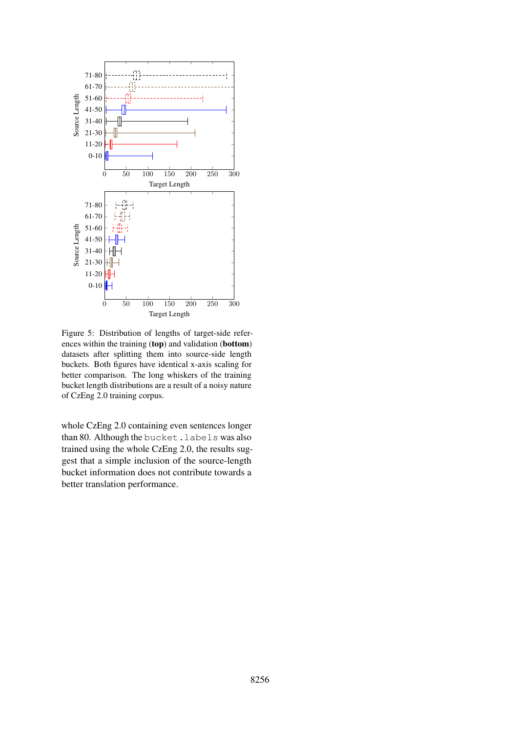<span id="page-10-0"></span>

Figure 5: Distribution of lengths of target-side references within the training (top) and validation (bottom) datasets after splitting them into source-side length buckets. Both figures have identical x-axis scaling for better comparison. The long whiskers of the training bucket length distributions are a result of a noisy nature of CzEng 2.0 training corpus.

whole CzEng 2.0 containing even sentences longer than 80. Although the bucket.labels was also trained using the whole CzEng 2.0, the results suggest that a simple inclusion of the source-length bucket information does not contribute towards a better translation performance.